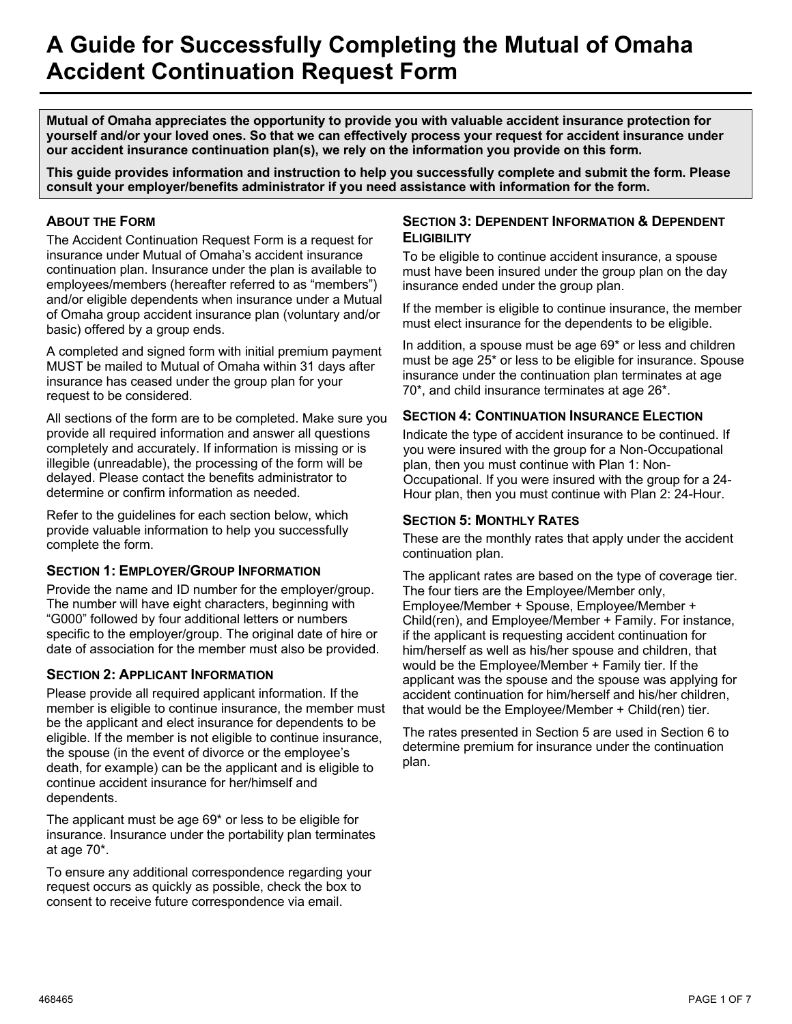# **A Guide for Successfully Completing the Mutual of Omaha Accident Continuation Request Form**

**Mutual of Omaha appreciates the opportunity to provide you with valuable accident insurance protection for yourself and/or your loved ones. So that we can effectively process your request for accident insurance under our accident insurance continuation plan(s), we rely on the information you provide on this form.**

**This guide provides information and instruction to help you successfully complete and submit the form. Please consult your employer/benefits administrator if you need assistance with information for the form.**

# **ABOUT THE FORM**

The Accident Continuation Request Form is a request for insurance under Mutual of Omaha's accident insurance continuation plan. Insurance under the plan is available to employees/members (hereafter referred to as "members") and/or eligible dependents when insurance under a Mutual of Omaha group accident insurance plan (voluntary and/or basic) offered by a group ends.

A completed and signed form with initial premium payment MUST be mailed to Mutual of Omaha within 31 days after insurance has ceased under the group plan for your request to be considered.

All sections of the form are to be completed. Make sure you provide all required information and answer all questions completely and accurately. If information is missing or is illegible (unreadable), the processing of the form will be delayed. Please contact the benefits administrator to determine or confirm information as needed.

Refer to the guidelines for each section below, which provide valuable information to help you successfully complete the form.

# **SECTION 1: EMPLOYER/GROUP INFORMATION**

Provide the name and ID number for the employer/group. The number will have eight characters, beginning with "G000" followed by four additional letters or numbers specific to the employer/group. The original date of hire or date of association for the member must also be provided.

# **SECTION 2: APPLICANT INFORMATION**

Please provide all required applicant information. If the member is eligible to continue insurance, the member must be the applicant and elect insurance for dependents to be eligible. If the member is not eligible to continue insurance, the spouse (in the event of divorce or the employee's death, for example) can be the applicant and is eligible to continue accident insurance for her/himself and dependents.

The applicant must be age 69\* or less to be eligible for insurance. Insurance under the portability plan terminates at age 70\*.

To ensure any additional correspondence regarding your request occurs as quickly as possible, check the box to consent to receive future correspondence via email.

## **SECTION 3: DEPENDENT INFORMATION & DEPENDENT ELIGIBILITY**

To be eligible to continue accident insurance, a spouse must have been insured under the group plan on the day insurance ended under the group plan.

If the member is eligible to continue insurance, the member must elect insurance for the dependents to be eligible.

In addition, a spouse must be age 69\* or less and children must be age 25\* or less to be eligible for insurance. Spouse insurance under the continuation plan terminates at age 70\*, and child insurance terminates at age 26\*.

# **SECTION 4: CONTINUATION INSURANCE ELECTION**

Indicate the type of accident insurance to be continued. If you were insured with the group for a Non-Occupational plan, then you must continue with Plan 1: Non-Occupational. If you were insured with the group for a 24- Hour plan, then you must continue with Plan 2: 24-Hour.

# **SECTION 5: MONTHLY RATES**

These are the monthly rates that apply under the accident continuation plan.

The applicant rates are based on the type of coverage tier. The four tiers are the Employee/Member only, Employee/Member + Spouse, Employee/Member + Child(ren), and Employee/Member + Family. For instance, if the applicant is requesting accident continuation for him/herself as well as his/her spouse and children, that would be the Employee/Member + Family tier. If the applicant was the spouse and the spouse was applying for accident continuation for him/herself and his/her children, that would be the Employee/Member + Child(ren) tier.

The rates presented in Section 5 are used in Section 6 to determine premium for insurance under the continuation plan.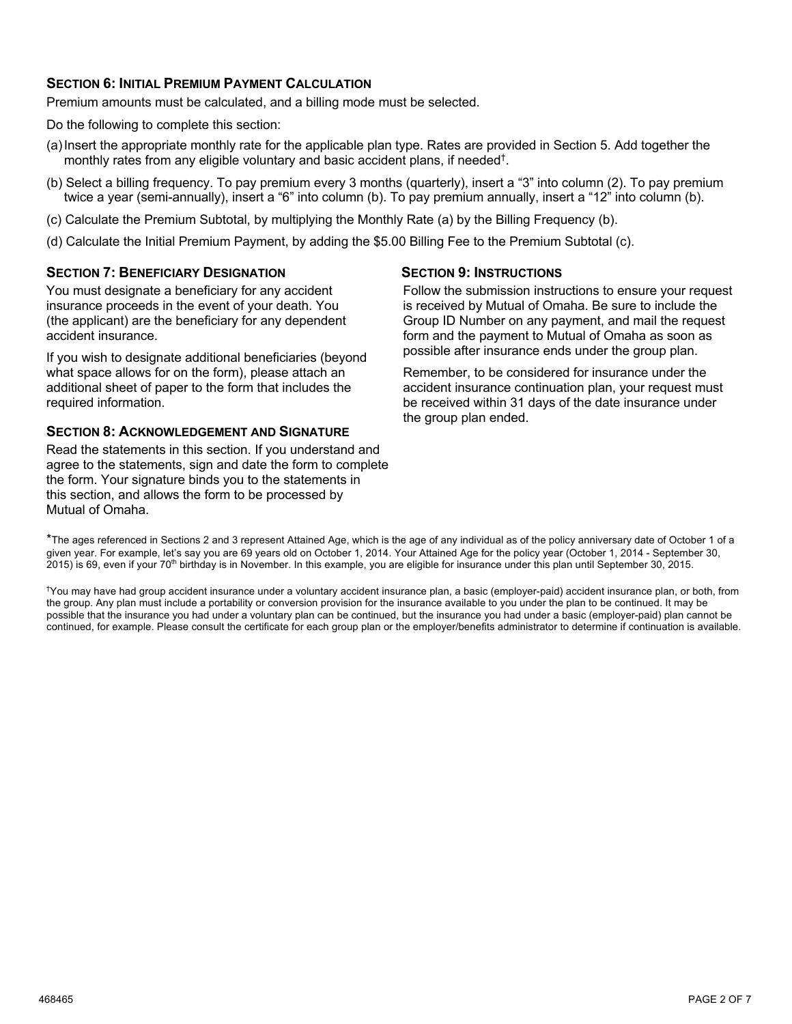# **SECTION 6: INITIAL PREMIUM PAYMENT CALCULATION**

Premium amounts must be calculated, and a billing mode must be selected.

Do the following to complete this section:

- (a)Insert the appropriate monthly rate for the applicable plan type. Rates are provided in Section 5. Add together the monthly rates from any eligible voluntary and basic accident plans, if needed†.
- (b) Select a billing frequency. To pay premium every 3 months (quarterly), insert a "3" into column (2). To pay premium twice a year (semi-annually), insert a "6" into column (b). To pay premium annually, insert a "12" into column (b).
- (c) Calculate the Premium Subtotal, by multiplying the Monthly Rate (a) by the Billing Frequency (b).
- (d) Calculate the Initial Premium Payment, by adding the \$5.00 Billing Fee to the Premium Subtotal (c).

## **SECTION 7: BENEFICIARY DESIGNATION**

You must designate a beneficiary for any accident insurance proceeds in the event of your death. You (the applicant) are the beneficiary for any dependent accident insurance.

If you wish to designate additional beneficiaries (beyond what space allows for on the form), please attach an additional sheet of paper to the form that includes the required information.

## **SECTION 8: ACKNOWLEDGEMENT AND SIGNATURE**

Read the statements in this section. If you understand and agree to the statements, sign and date the form to complete the form. Your signature binds you to the statements in this section, and allows the form to be processed by Mutual of Omaha.

#### **SECTION 9: INSTRUCTIONS**

Follow the submission instructions to ensure your request is received by Mutual of Omaha. Be sure to include the Group ID Number on any payment, and mail the request form and the payment to Mutual of Omaha as soon as possible after insurance ends under the group plan.

Remember, to be considered for insurance under the accident insurance continuation plan, your request must be received within 31 days of the date insurance under the group plan ended.

\*The ages referenced in Sections 2 and 3 represent Attained Age, which is the age of any individual as of the policy anniversary date of October 1 of a given year. For example, let's say you are 69 years old on October 1, 2014. Your Attained Age for the policy year (October 1, 2014 - September 30, 2015) is 69, even if your 70th birthday is in November. In this example, you are eligible for insurance under this plan until September 30, 2015.

† You may have had group accident insurance under a voluntary accident insurance plan, a basic (employer-paid) accident insurance plan, or both, from the group. Any plan must include a portability or conversion provision for the insurance available to you under the plan to be continued. It may be possible that the insurance you had under a voluntary plan can be continued, but the insurance you had under a basic (employer-paid) plan cannot be continued, for example. Please consult the certificate for each group plan or the employer/benefits administrator to determine if continuation is available.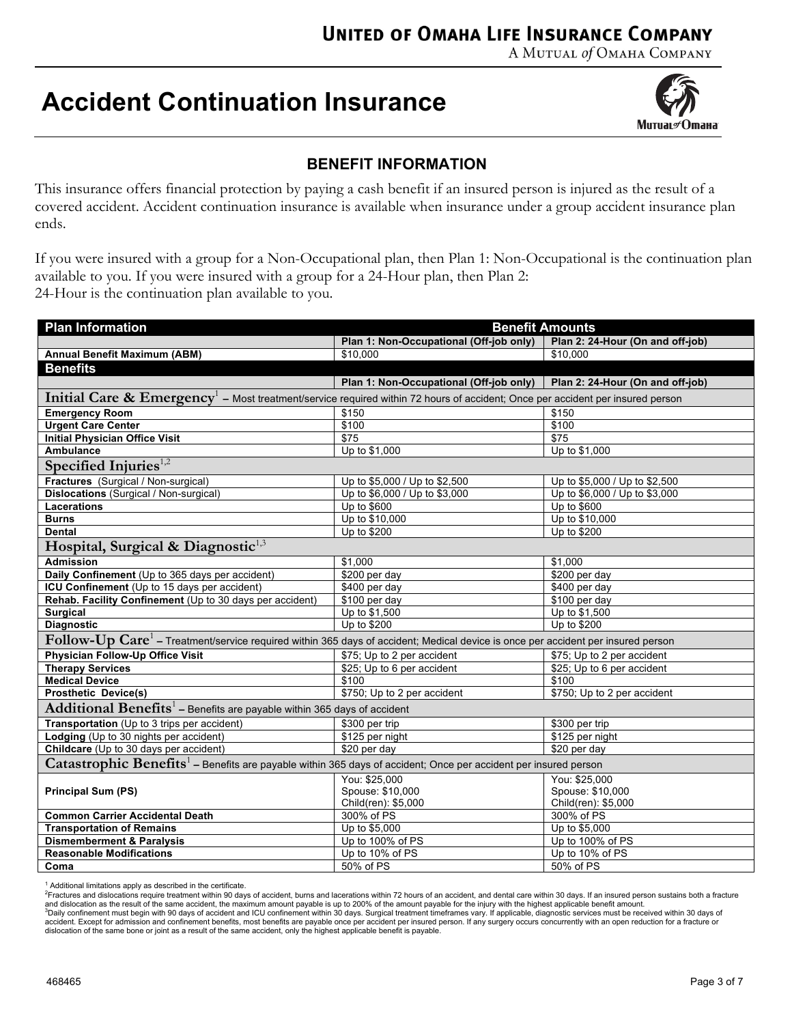# **UNITED OF OMAHA LIFE INSURANCE COMPANY**

A MUTUAL of OMAHA COMPANY

# **Accident Continuation Insurance**



# **BENEFIT INFORMATION**

This insurance offers financial protection by paying a cash benefit if an insured person is injured as the result of a covered accident. Accident continuation insurance is available when insurance under a group accident insurance plan ends.

If you were insured with a group for a Non-Occupational plan, then Plan 1: Non-Occupational is the continuation plan available to you. If you were insured with a group for a 24-Hour plan, then Plan 2: 24-Hour is the continuation plan available to you.

| <b>Plan Information</b>                                                                                                                      | <b>Benefit Amounts</b>                                                      |                                  |  |  |  |  |  |  |
|----------------------------------------------------------------------------------------------------------------------------------------------|-----------------------------------------------------------------------------|----------------------------------|--|--|--|--|--|--|
|                                                                                                                                              | Plan 1: Non-Occupational (Off-job only)<br>Plan 2: 24-Hour (On and off-job) |                                  |  |  |  |  |  |  |
| Annual Benefit Maximum (ABM)                                                                                                                 | \$10,000                                                                    | \$10,000                         |  |  |  |  |  |  |
| <b>Benefits</b>                                                                                                                              |                                                                             |                                  |  |  |  |  |  |  |
|                                                                                                                                              | Plan 1: Non-Occupational (Off-job only)                                     | Plan 2: 24-Hour (On and off-job) |  |  |  |  |  |  |
| Initial Care $\&$ Emergency <sup>1</sup> – Most treatment/service required within 72 hours of accident; Once per accident per insured person |                                                                             |                                  |  |  |  |  |  |  |
| <b>Emergency Room</b>                                                                                                                        | \$150                                                                       | \$150                            |  |  |  |  |  |  |
| <b>Urgent Care Center</b>                                                                                                                    | \$100                                                                       | \$100                            |  |  |  |  |  |  |
| <b>Initial Physician Office Visit</b>                                                                                                        | $\overline{$75}$                                                            | $\overline{$}$                   |  |  |  |  |  |  |
| <b>Ambulance</b>                                                                                                                             | Up to \$1,000                                                               | Up to \$1,000                    |  |  |  |  |  |  |
| Specified Injuries <sup>1,2</sup>                                                                                                            |                                                                             |                                  |  |  |  |  |  |  |
| Fractures (Surgical / Non-surgical)                                                                                                          | Up to \$5,000 / Up to \$2,500                                               | Up to \$5,000 / Up to \$2,500    |  |  |  |  |  |  |
| <b>Dislocations</b> (Surgical / Non-surgical)                                                                                                | Up to \$6,000 / Up to \$3,000                                               | Up to \$6,000 / Up to \$3,000    |  |  |  |  |  |  |
| <b>Lacerations</b>                                                                                                                           | Up to \$600                                                                 | Up to \$600                      |  |  |  |  |  |  |
| <b>Burns</b>                                                                                                                                 | Up to \$10,000                                                              | Up to \$10,000                   |  |  |  |  |  |  |
| <b>Dental</b>                                                                                                                                | Up to \$200                                                                 | Up to \$200                      |  |  |  |  |  |  |
| Hospital, Surgical & Diagnostic <sup>1,3</sup>                                                                                               |                                                                             |                                  |  |  |  |  |  |  |
| <b>Admission</b>                                                                                                                             | \$1,000                                                                     | \$1.000                          |  |  |  |  |  |  |
| Daily Confinement (Up to 365 days per accident)                                                                                              | \$200 per day                                                               | \$200 per day                    |  |  |  |  |  |  |
| ICU Confinement (Up to 15 days per accident)                                                                                                 | \$400 per day                                                               | \$400 per day                    |  |  |  |  |  |  |
| Rehab. Facility Confinement (Up to 30 days per accident)                                                                                     | \$100 per day                                                               | \$100 per day                    |  |  |  |  |  |  |
| <b>Surgical</b>                                                                                                                              | Up to \$1,500                                                               | Up to \$1,500                    |  |  |  |  |  |  |
| <b>Diagnostic</b>                                                                                                                            | Up to \$200                                                                 | Up to \$200                      |  |  |  |  |  |  |
| Follow-Up Care <sup>1</sup> – Treatment/service required within 365 days of accident; Medical device is once per accident per insured person |                                                                             |                                  |  |  |  |  |  |  |
| <b>Physician Follow-Up Office Visit</b>                                                                                                      | \$75; Up to 2 per accident                                                  | \$75; Up to 2 per accident       |  |  |  |  |  |  |
| <b>Therapy Services</b>                                                                                                                      | \$25; Up to 6 per accident                                                  | \$25; Up to 6 per accident       |  |  |  |  |  |  |
| <b>Medical Device</b>                                                                                                                        | \$100                                                                       | \$100                            |  |  |  |  |  |  |
| <b>Prosthetic Device(s)</b>                                                                                                                  | \$750; Up to 2 per accident                                                 | \$750; Up to 2 per accident      |  |  |  |  |  |  |
| <b>Additional Benefits</b> <sup>1</sup> – Benefits are payable within 365 days of accident                                                   |                                                                             |                                  |  |  |  |  |  |  |
| Transportation (Up to 3 trips per accident)                                                                                                  | \$300 per trip                                                              | \$300 per trip                   |  |  |  |  |  |  |
| Lodging (Up to 30 nights per accident)                                                                                                       | \$125 per night                                                             | \$125 per night                  |  |  |  |  |  |  |
| Childcare (Up to 30 days per accident)                                                                                                       | \$20 per day                                                                | \$20 per day                     |  |  |  |  |  |  |
| Catastrophic Benefits <sup>1</sup> – Benefits are payable within 365 days of accident; Once per accident per insured person                  |                                                                             |                                  |  |  |  |  |  |  |
|                                                                                                                                              | You: \$25,000                                                               | You: \$25.000                    |  |  |  |  |  |  |
| <b>Principal Sum (PS)</b>                                                                                                                    | Spouse: \$10,000                                                            | Spouse: \$10,000                 |  |  |  |  |  |  |
|                                                                                                                                              | Child(ren): \$5,000                                                         | Child(ren): \$5,000              |  |  |  |  |  |  |
| <b>Common Carrier Accidental Death</b>                                                                                                       | 300% of PS                                                                  | 300% of PS                       |  |  |  |  |  |  |
| <b>Transportation of Remains</b>                                                                                                             | Up to \$5,000                                                               | Up to \$5,000                    |  |  |  |  |  |  |
| <b>Dismemberment &amp; Paralysis</b>                                                                                                         | Up to 100% of PS                                                            | Up to 100% of PS                 |  |  |  |  |  |  |
| <b>Reasonable Modifications</b>                                                                                                              | Up to 10% of PS                                                             | Up to 10% of PS                  |  |  |  |  |  |  |
| Coma                                                                                                                                         | 50% of PS                                                                   | 50% of PS                        |  |  |  |  |  |  |

<sup>1</sup> Additional limitations apply as described in the certificate.

<sup>2</sup>Fractures and dislocations require treatment within 90 days of accident, burns and lacerations within 72 hours of an accident, and dental care within 30 days. If an insured person sustains both a fracture and dislocation as the result of the same accident, the maximum amount payable is up to 200% of the amount payable for the injury with the highest applicable benefit amount.<br><sup>3</sup>Daily confinement must begin with 90 days of dislocation of the same bone or joint as a result of the same accident, only the highest applicable benefit is payable.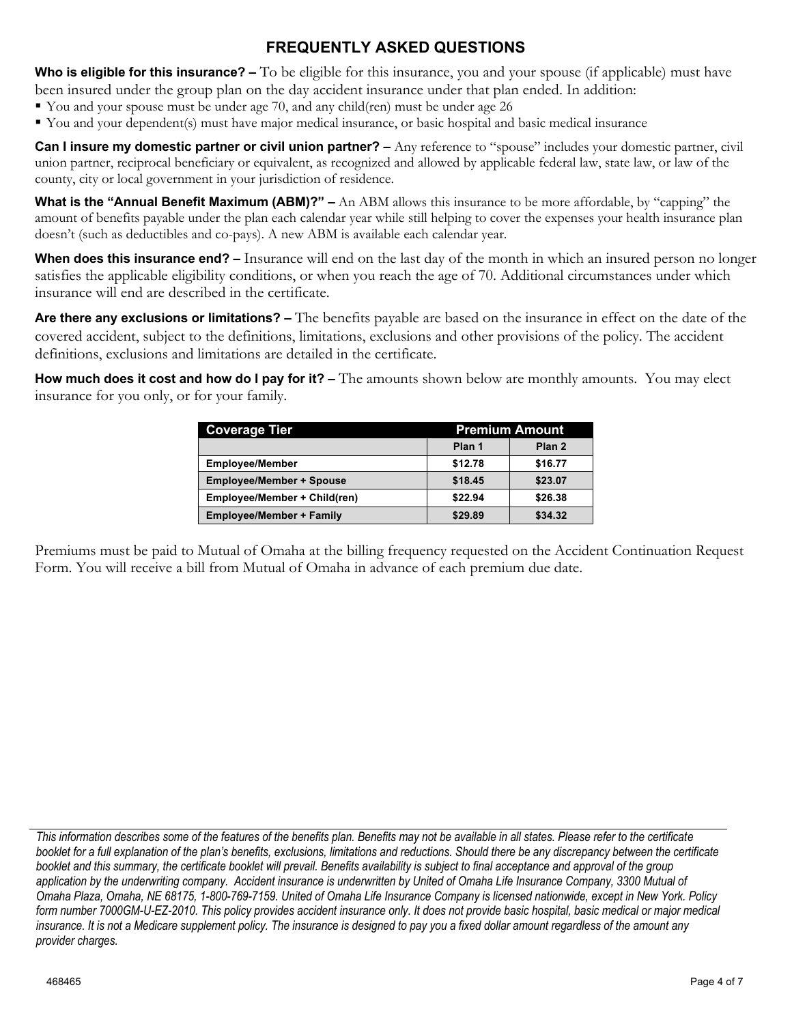# **FREQUENTLY ASKED QUESTIONS**

**Who is eligible for this insurance? –** To be eligible for this insurance, you and your spouse (if applicable) must have been insured under the group plan on the day accident insurance under that plan ended. In addition:

- § You and your spouse must be under age 70, and any child(ren) must be under age 26
- § You and your dependent(s) must have major medical insurance, or basic hospital and basic medical insurance

**Can I insure my domestic partner or civil union partner?** – Any reference to "spouse" includes your domestic partner, civil union partner, reciprocal beneficiary or equivalent, as recognized and allowed by applicable federal law, state law, or law of the county, city or local government in your jurisdiction of residence.

**What is the "Annual Benefit Maximum (ABM)?" –** An ABM allows this insurance to be more affordable, by "capping" the amount of benefits payable under the plan each calendar year while still helping to cover the expenses your health insurance plan doesn't (such as deductibles and co-pays). A new ABM is available each calendar year.

**When does this insurance end? –** Insurance will end on the last day of the month in which an insured person no longer satisfies the applicable eligibility conditions, or when you reach the age of 70. Additional circumstances under which insurance will end are described in the certificate.

**Are there any exclusions or limitations? –** The benefits payable are based on the insurance in effect on the date of the covered accident, subject to the definitions, limitations, exclusions and other provisions of the policy. The accident definitions, exclusions and limitations are detailed in the certificate.

**How much does it cost and how do I pay for it? –** The amounts shown below are monthly amounts. You may elect insurance for you only, or for your family.

| <b>Coverage Tier</b><br><b>Premium Amount</b> |         |                   |  |
|-----------------------------------------------|---------|-------------------|--|
|                                               | Plan 1  | Plan <sub>2</sub> |  |
| <b>Employee/Member</b>                        | \$12.78 | \$16.77           |  |
| <b>Employee/Member + Spouse</b>               | \$18.45 | \$23.07           |  |
| Employee/Member + Child(ren)                  | \$22.94 | \$26.38           |  |
| <b>Employee/Member + Family</b>               | \$29.89 | \$34.32           |  |

Premiums must be paid to Mutual of Omaha at the billing frequency requested on the Accident Continuation Request Form. You will receive a bill from Mutual of Omaha in advance of each premium due date.

*This information describes some of the features of the benefits plan. Benefits may not be available in all states. Please refer to the certificate booklet for a full explanation of the plan's benefits, exclusions, limitations and reductions. Should there be any discrepancy between the certificate booklet and this summary, the certificate booklet will prevail. Benefits availability is subject to final acceptance and approval of the group application by the underwriting company. Accident insurance is underwritten by United of Omaha Life Insurance Company, 3300 Mutual of Omaha Plaza, Omaha, NE 68175, 1-800-769-7159. United of Omaha Life Insurance Company is licensed nationwide, except in New York. Policy form number 7000GM-U-EZ-2010. This policy provides accident insurance only. It does not provide basic hospital, basic medical or major medical insurance. It is not a Medicare supplement policy. The insurance is designed to pay you a fixed dollar amount regardless of the amount any provider charges.*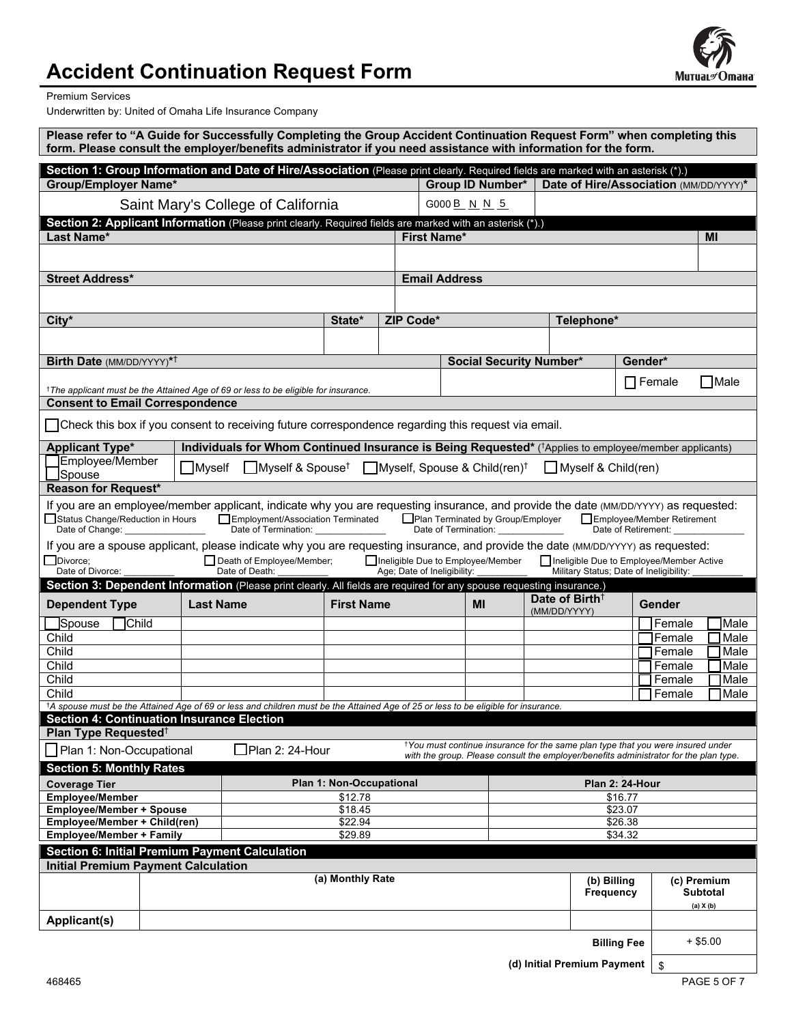# **Accident Continuation Request Form**



Premium Services

Underwritten by: United of Omaha Life Insurance Company

|                                                                                                                                                                                                                                                                                                                                                                                                                            |        | Please refer to "A Guide for Successfully Completing the Group Accident Continuation Request Form" when completing this<br>form. Please consult the employer/benefits administrator if you need assistance with information for the form. |                   |                    |                                |                                                                                    |                                            |                                                                                                                                                                                      |         |                            |            |              |
|----------------------------------------------------------------------------------------------------------------------------------------------------------------------------------------------------------------------------------------------------------------------------------------------------------------------------------------------------------------------------------------------------------------------------|--------|-------------------------------------------------------------------------------------------------------------------------------------------------------------------------------------------------------------------------------------------|-------------------|--------------------|--------------------------------|------------------------------------------------------------------------------------|--------------------------------------------|--------------------------------------------------------------------------------------------------------------------------------------------------------------------------------------|---------|----------------------------|------------|--------------|
|                                                                                                                                                                                                                                                                                                                                                                                                                            |        | Section 1: Group Information and Date of Hire/Association (Please print clearly. Required fields are marked with an asterisk (*).)                                                                                                        |                   |                    |                                |                                                                                    |                                            |                                                                                                                                                                                      |         |                            |            |              |
| <b>Group/Employer Name*</b>                                                                                                                                                                                                                                                                                                                                                                                                |        |                                                                                                                                                                                                                                           |                   |                    | Group ID Number*               |                                                                                    |                                            | Date of Hire/Association (MM/DD/YYYY)*                                                                                                                                               |         |                            |            |              |
|                                                                                                                                                                                                                                                                                                                                                                                                                            |        | Saint Mary's College of California                                                                                                                                                                                                        |                   |                    | G000 B N N 5                   |                                                                                    |                                            |                                                                                                                                                                                      |         |                            |            |              |
|                                                                                                                                                                                                                                                                                                                                                                                                                            |        | Section 2: Applicant Information (Please print clearly. Required fields are marked with an asterisk (*).)                                                                                                                                 |                   |                    |                                |                                                                                    |                                            |                                                                                                                                                                                      |         |                            |            |              |
| Last Name*                                                                                                                                                                                                                                                                                                                                                                                                                 |        |                                                                                                                                                                                                                                           |                   | <b>First Name*</b> |                                |                                                                                    |                                            |                                                                                                                                                                                      |         |                            | MI         |              |
|                                                                                                                                                                                                                                                                                                                                                                                                                            |        |                                                                                                                                                                                                                                           |                   |                    |                                |                                                                                    |                                            |                                                                                                                                                                                      |         |                            |            |              |
| <b>Street Address*</b><br><b>Email Address</b>                                                                                                                                                                                                                                                                                                                                                                             |        |                                                                                                                                                                                                                                           |                   |                    |                                |                                                                                    |                                            |                                                                                                                                                                                      |         |                            |            |              |
|                                                                                                                                                                                                                                                                                                                                                                                                                            |        |                                                                                                                                                                                                                                           |                   |                    |                                |                                                                                    |                                            |                                                                                                                                                                                      |         |                            |            |              |
| City*                                                                                                                                                                                                                                                                                                                                                                                                                      |        |                                                                                                                                                                                                                                           | State*            | ZIP Code*          |                                |                                                                                    |                                            | Telephone*                                                                                                                                                                           |         |                            |            |              |
|                                                                                                                                                                                                                                                                                                                                                                                                                            |        |                                                                                                                                                                                                                                           |                   |                    |                                |                                                                                    |                                            |                                                                                                                                                                                      |         |                            |            |              |
|                                                                                                                                                                                                                                                                                                                                                                                                                            |        |                                                                                                                                                                                                                                           |                   |                    |                                |                                                                                    |                                            |                                                                                                                                                                                      |         |                            |            |              |
| Birth Date (MM/DD/YYYY)* <sup>†</sup>                                                                                                                                                                                                                                                                                                                                                                                      |        |                                                                                                                                                                                                                                           |                   |                    | <b>Social Security Number*</b> |                                                                                    |                                            |                                                                                                                                                                                      | Gender* |                            |            |              |
|                                                                                                                                                                                                                                                                                                                                                                                                                            |        | <sup>†</sup> The applicant must be the Attained Age of 69 or less to be eligible for insurance.                                                                                                                                           |                   |                    |                                |                                                                                    |                                            |                                                                                                                                                                                      |         | $\Box$ Female              |            | <b>Nale</b>  |
| <b>Consent to Email Correspondence</b>                                                                                                                                                                                                                                                                                                                                                                                     |        |                                                                                                                                                                                                                                           |                   |                    |                                |                                                                                    |                                            |                                                                                                                                                                                      |         |                            |            |              |
|                                                                                                                                                                                                                                                                                                                                                                                                                            |        | Check this box if you consent to receiving future correspondence regarding this request via email.                                                                                                                                        |                   |                    |                                |                                                                                    |                                            |                                                                                                                                                                                      |         |                            |            |              |
| <b>Applicant Type*</b>                                                                                                                                                                                                                                                                                                                                                                                                     |        | Individuals for Whom Continued Insurance is Being Requested* (*Applies to employee/member applicants)                                                                                                                                     |                   |                    |                                |                                                                                    |                                            |                                                                                                                                                                                      |         |                            |            |              |
| Employee/Member<br>Spouse                                                                                                                                                                                                                                                                                                                                                                                                  | Myself | Myself & Spouse <sup>†</sup> Myself, Spouse & Child(ren) <sup>†</sup>                                                                                                                                                                     |                   |                    |                                |                                                                                    |                                            | $\Box$ Myself & Child(ren)                                                                                                                                                           |         |                            |            |              |
| <b>Reason for Request*</b>                                                                                                                                                                                                                                                                                                                                                                                                 |        |                                                                                                                                                                                                                                           |                   |                    |                                |                                                                                    |                                            |                                                                                                                                                                                      |         |                            |            |              |
| If you are an employee/member applicant, indicate why you are requesting insurance, and provide the date (MM/DD/YYYY) as requested:<br>Status Change/Reduction in Hours<br>Employment/Association Terminated<br>Plan Terminated by Group/Employer<br>Employee/Member Retirement<br>Date of Change: _________________<br>Date of Termination: _______________<br>Date of Termination: ______________<br>Date of Retirement: |        |                                                                                                                                                                                                                                           |                   |                    |                                |                                                                                    |                                            |                                                                                                                                                                                      |         |                            |            |              |
| If you are a spouse applicant, please indicate why you are requesting insurance, and provide the date (MM/DD/YYYY) as requested:<br>Divorce:<br>Ineligible Due to Employee/Member<br>Death of Employee/Member;<br>Ineligible Due to Employee/Member Active<br>Date of Divorce:<br>Date of Death:<br>Age; Date of Ineligibility:<br>Military Status; Date of Ineligibility:                                                 |        |                                                                                                                                                                                                                                           |                   |                    |                                |                                                                                    |                                            |                                                                                                                                                                                      |         |                            |            |              |
|                                                                                                                                                                                                                                                                                                                                                                                                                            |        | Section 3: Dependent Information (Please print clearly. All fields are required for any spouse requesting insurance.)                                                                                                                     |                   |                    |                                |                                                                                    |                                            |                                                                                                                                                                                      |         |                            |            |              |
| <b>Dependent Type</b>                                                                                                                                                                                                                                                                                                                                                                                                      |        | <b>Last Name</b>                                                                                                                                                                                                                          | <b>First Name</b> |                    | MI                             |                                                                                    | Date of Birth <sup>+</sup><br>(MM/DD/YYYY) | Gender                                                                                                                                                                               |         |                            |            |              |
| <b>ISpouse</b><br>Child                                                                                                                                                                                                                                                                                                                                                                                                    |        |                                                                                                                                                                                                                                           |                   |                    |                                |                                                                                    |                                            |                                                                                                                                                                                      |         | Female                     |            | Male         |
| Child<br>Child                                                                                                                                                                                                                                                                                                                                                                                                             |        |                                                                                                                                                                                                                                           |                   |                    |                                |                                                                                    |                                            |                                                                                                                                                                                      |         | <b>IFemale</b><br>1 Female |            | Male<br>Male |
| Child                                                                                                                                                                                                                                                                                                                                                                                                                      |        |                                                                                                                                                                                                                                           |                   |                    |                                |                                                                                    |                                            |                                                                                                                                                                                      |         | Female                     |            | Male         |
| Child                                                                                                                                                                                                                                                                                                                                                                                                                      |        |                                                                                                                                                                                                                                           |                   |                    |                                |                                                                                    |                                            |                                                                                                                                                                                      |         | Female                     |            | Male         |
| Child                                                                                                                                                                                                                                                                                                                                                                                                                      |        |                                                                                                                                                                                                                                           |                   |                    |                                |                                                                                    |                                            |                                                                                                                                                                                      |         | Female                     |            | Male         |
|                                                                                                                                                                                                                                                                                                                                                                                                                            |        | <sup>†</sup> A spouse must be the Attained Age of 69 or less and children must be the Attained Age of 25 or less to be eligible for insurance.                                                                                            |                   |                    |                                |                                                                                    |                                            |                                                                                                                                                                                      |         |                            |            |              |
| <b>Section 4: Continuation Insurance Election</b><br>Plan Type Requested <sup>†</sup>                                                                                                                                                                                                                                                                                                                                      |        |                                                                                                                                                                                                                                           |                   |                    |                                |                                                                                    |                                            |                                                                                                                                                                                      |         |                            |            |              |
| Plan 1: Non-Occupational                                                                                                                                                                                                                                                                                                                                                                                                   |        | $\Box$ Plan 2: 24-Hour                                                                                                                                                                                                                    |                   |                    |                                |                                                                                    |                                            | <sup>†</sup> You must continue insurance for the same plan type that you were insured under<br>with the group. Please consult the employer/benefits administrator for the plan type. |         |                            |            |              |
| <b>Section 5: Monthly Rates</b>                                                                                                                                                                                                                                                                                                                                                                                            |        |                                                                                                                                                                                                                                           |                   |                    |                                |                                                                                    |                                            |                                                                                                                                                                                      |         |                            |            |              |
| <b>Plan 1: Non-Occupational</b><br><b>Coverage Tier</b>                                                                                                                                                                                                                                                                                                                                                                    |        |                                                                                                                                                                                                                                           | Plan 2: 24-Hour   |                    |                                |                                                                                    |                                            |                                                                                                                                                                                      |         |                            |            |              |
| <b>Employee/Member</b><br><b>Employee/Member + Spouse</b>                                                                                                                                                                                                                                                                                                                                                                  |        |                                                                                                                                                                                                                                           | \$18.45           | \$12.78            |                                |                                                                                    |                                            | \$16.77<br>\$23.07                                                                                                                                                                   |         |                            |            |              |
| Employee/Member + Child(ren)                                                                                                                                                                                                                                                                                                                                                                                               |        |                                                                                                                                                                                                                                           | \$22.94           | \$26.38            |                                |                                                                                    |                                            |                                                                                                                                                                                      |         |                            |            |              |
| <b>Employee/Member + Family</b><br>\$29.89                                                                                                                                                                                                                                                                                                                                                                                 |        |                                                                                                                                                                                                                                           |                   |                    |                                | \$34.32                                                                            |                                            |                                                                                                                                                                                      |         |                            |            |              |
| Section 6: Initial Premium Payment Calculation                                                                                                                                                                                                                                                                                                                                                                             |        |                                                                                                                                                                                                                                           |                   |                    |                                |                                                                                    |                                            |                                                                                                                                                                                      |         |                            |            |              |
| <b>Initial Premium Payment Calculation</b>                                                                                                                                                                                                                                                                                                                                                                                 |        |                                                                                                                                                                                                                                           | (a) Monthly Rate  |                    |                                |                                                                                    |                                            |                                                                                                                                                                                      |         |                            |            |              |
|                                                                                                                                                                                                                                                                                                                                                                                                                            |        |                                                                                                                                                                                                                                           |                   |                    |                                | (b) Billing<br>(c) Premium<br><b>Frequency</b><br><b>Subtotal</b><br>$(a)$ X $(b)$ |                                            |                                                                                                                                                                                      |         |                            |            |              |
| <b>Applicant(s)</b>                                                                                                                                                                                                                                                                                                                                                                                                        |        |                                                                                                                                                                                                                                           |                   |                    |                                |                                                                                    |                                            |                                                                                                                                                                                      |         |                            |            |              |
|                                                                                                                                                                                                                                                                                                                                                                                                                            |        |                                                                                                                                                                                                                                           |                   |                    |                                |                                                                                    |                                            | <b>Billing Fee</b>                                                                                                                                                                   |         |                            | $+$ \$5.00 |              |

468465 PAGE 5 OF 7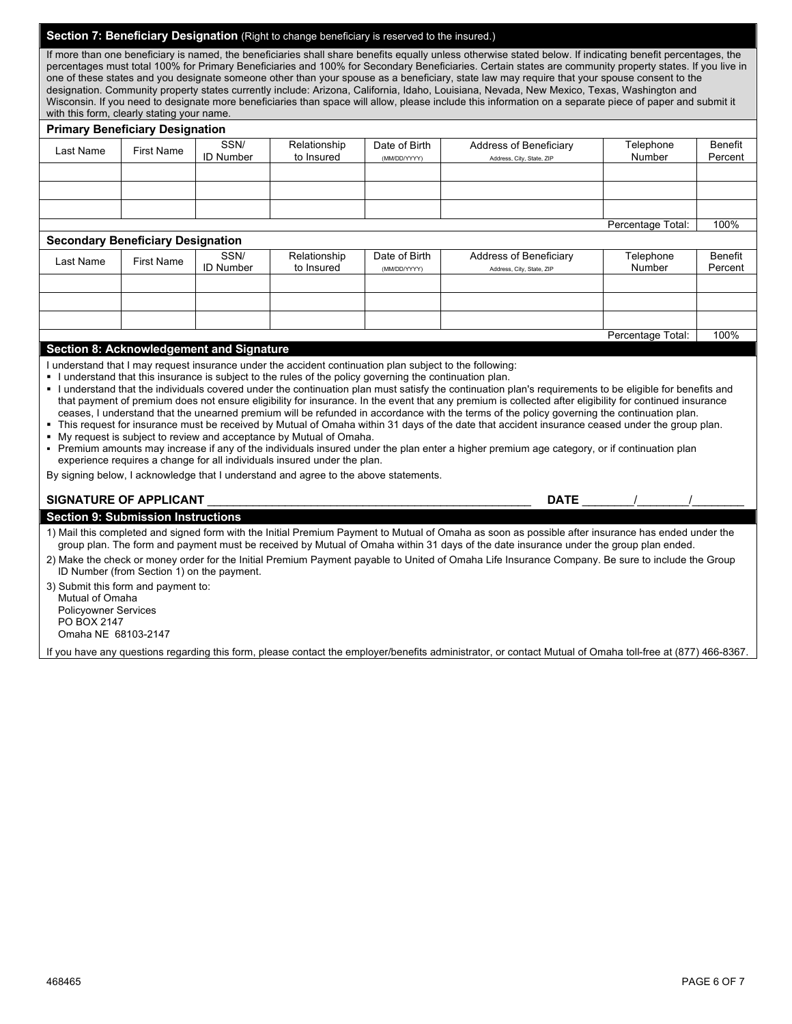| <b>Section 7: Beneficiary Designation (Right to chand</b> | reserved to the insured.)<br>ade beneficiary is m |  |
|-----------------------------------------------------------|---------------------------------------------------|--|

If more than one beneficiary is named, the beneficiaries shall share benefits equally unless otherwise stated below. If indicating benefit percentages, the percentages must total 100% for Primary Beneficiaries and 100% for Secondary Beneficiaries. Certain states are community property states. If you live in one of these states and you designate someone other than your spouse as a beneficiary, state law may require that your spouse consent to the designation. Community property states currently include: Arizona, California, Idaho, Louisiana, Nevada, New Mexico, Texas, Washington and Wisconsin. If you need to designate more beneficiaries than space will allow, please include this information on a separate piece of paper and submit it with this form, clearly stating your name.

#### **Primary Beneficiary Designation**

| Last Name                                        | <b>First Name</b> | SSN/             | Relationship | Date of Birth | Address of Beneficiary    | Telephone         | Benefit |
|--------------------------------------------------|-------------------|------------------|--------------|---------------|---------------------------|-------------------|---------|
|                                                  |                   | <b>ID Number</b> | to Insured   | (MM/DD/YYYY)  | Address, City, State, ZIP | Number            | Percent |
|                                                  |                   |                  |              |               |                           |                   |         |
|                                                  |                   |                  |              |               |                           |                   |         |
|                                                  |                   |                  |              |               |                           |                   |         |
|                                                  |                   |                  |              |               |                           | Percentage Total: | 100%    |
| <b>Secondary Beneficiary Designation</b>         |                   |                  |              |               |                           |                   |         |
|                                                  |                   | SSN/             | Relationship | Date of Birth | Address of Beneficiary    | Telephone         | Benefit |
| Last Name                                        | <b>First Name</b> | <b>ID Number</b> | to Insured   | (MM/DD/YYYY)  | Address, City, State, ZIP | Number            | Percent |
|                                                  |                   |                  |              |               |                           |                   |         |
|                                                  |                   |                  |              |               |                           |                   |         |
|                                                  |                   |                  |              |               |                           |                   |         |
|                                                  |                   |                  |              |               |                           | Percentage Total: | 100%    |
| Continue O. Antonio de decembra de la Cincentera |                   |                  |              |               |                           |                   |         |

#### **Section 8: Acknowledgement and Signature**

I understand that I may request insurance under the accident continuation plan subject to the following:

|  |  | I understand that this insurance is subject to the rules of the policy governing the continuation plan. |
|--|--|---------------------------------------------------------------------------------------------------------|
|--|--|---------------------------------------------------------------------------------------------------------|

§ I understand that the individuals covered under the continuation plan must satisfy the continuation plan's requirements to be eligible for benefits and that payment of premium does not ensure eligibility for insurance. In the event that any premium is collected after eligibility for continued insurance ceases, I understand that the unearned premium will be refunded in accordance with the terms of the policy governing the continuation plan.

This request for insurance must be received by Mutual of Omaha within 31 days of the date that accident insurance ceased under the group plan. My request is subject to review and acceptance by Mutual of Omaha.

§ Premium amounts may increase if any of the individuals insured under the plan enter a higher premium age category, or if continuation plan experience requires a change for all individuals insured under the plan.

By signing below, I acknowledge that I understand and agree to the above statements.

#### **SIGNATURE OF APPLICANT** \_\_\_\_\_\_\_\_\_\_\_\_\_\_\_\_\_\_\_\_\_\_\_\_\_\_\_\_\_\_\_\_\_\_\_\_\_\_\_\_\_\_\_\_\_\_\_\_\_\_ **DATE** \_\_\_\_\_\_\_\_/\_\_\_\_\_\_\_\_/\_\_\_\_\_\_\_\_

| <b>DATE</b> |  |
|-------------|--|

| <b>Section 9: Submission Instructions</b>                                                                                                          |
|----------------------------------------------------------------------------------------------------------------------------------------------------|
| 1) Mail this completed and signed form with the Initial Premium Payment to Mutual of Omaha as soon as possible after insurance has ended under the |
| group plan. The form and payment must be received by Mutual of Omaha within 31 days of the date insurance under the group plan ended.              |

| 2) Make the check or money order for the Initial Premium Payment payable to United of Omaha Life Insurance Company. Be sure to include the Group |  |  |
|--------------------------------------------------------------------------------------------------------------------------------------------------|--|--|
| ID Number (from Section 1) on the payment.                                                                                                       |  |  |

3) Submit this form and payment to: Mutual of Omaha Policyowner Services PO BOX 2147 Omaha NE 68103-2147

If you have any questions regarding this form, please contact the employer/benefits administrator, or contact Mutual of Omaha toll-free at (877) 466-8367.